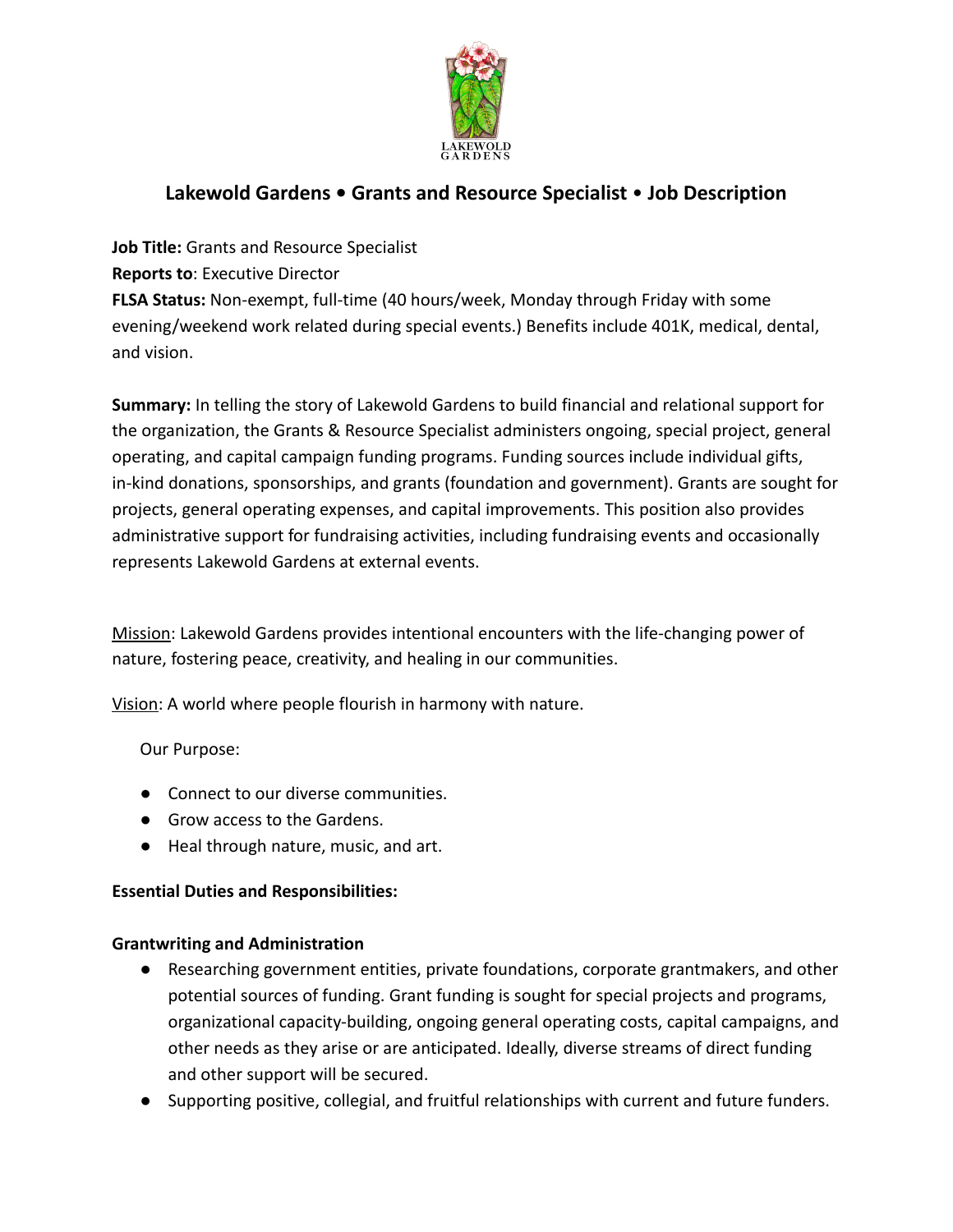

# **Lakewold Gardens • Grants and Resource Specialist** • **Job Description**

**Job Title:** Grants and Resource Specialist

**Reports to**: Executive Director

**FLSA Status:** Non-exempt, full-time (40 hours/week, Monday through Friday with some evening/weekend work related during special events.) Benefits include 401K, medical, dental, and vision.

**Summary:** In telling the story of Lakewold Gardens to build financial and relational support for the organization, the Grants & Resource Specialist administers ongoing, special project, general operating, and capital campaign funding programs. Funding sources include individual gifts, in-kind donations, sponsorships, and grants (foundation and government). Grants are sought for projects, general operating expenses, and capital improvements. This position also provides administrative support for fundraising activities, including fundraising events and occasionally represents Lakewold Gardens at external events.

Mission: Lakewold Gardens provides intentional encounters with the life-changing power of nature, fostering peace, creativity, and healing in our communities.

Vision: A world where people flourish in harmony with nature.

Our Purpose:

- Connect to our diverse communities.
- Grow access to the Gardens.
- Heal through nature, music, and art.

# **Essential Duties and Responsibilities:**

# **Grantwriting and Administration**

- Researching government entities, private foundations, corporate grantmakers, and other potential sources of funding. Grant funding is sought for special projects and programs, organizational capacity-building, ongoing general operating costs, capital campaigns, and other needs as they arise or are anticipated. Ideally, diverse streams of direct funding and other support will be secured.
- Supporting positive, collegial, and fruitful relationships with current and future funders.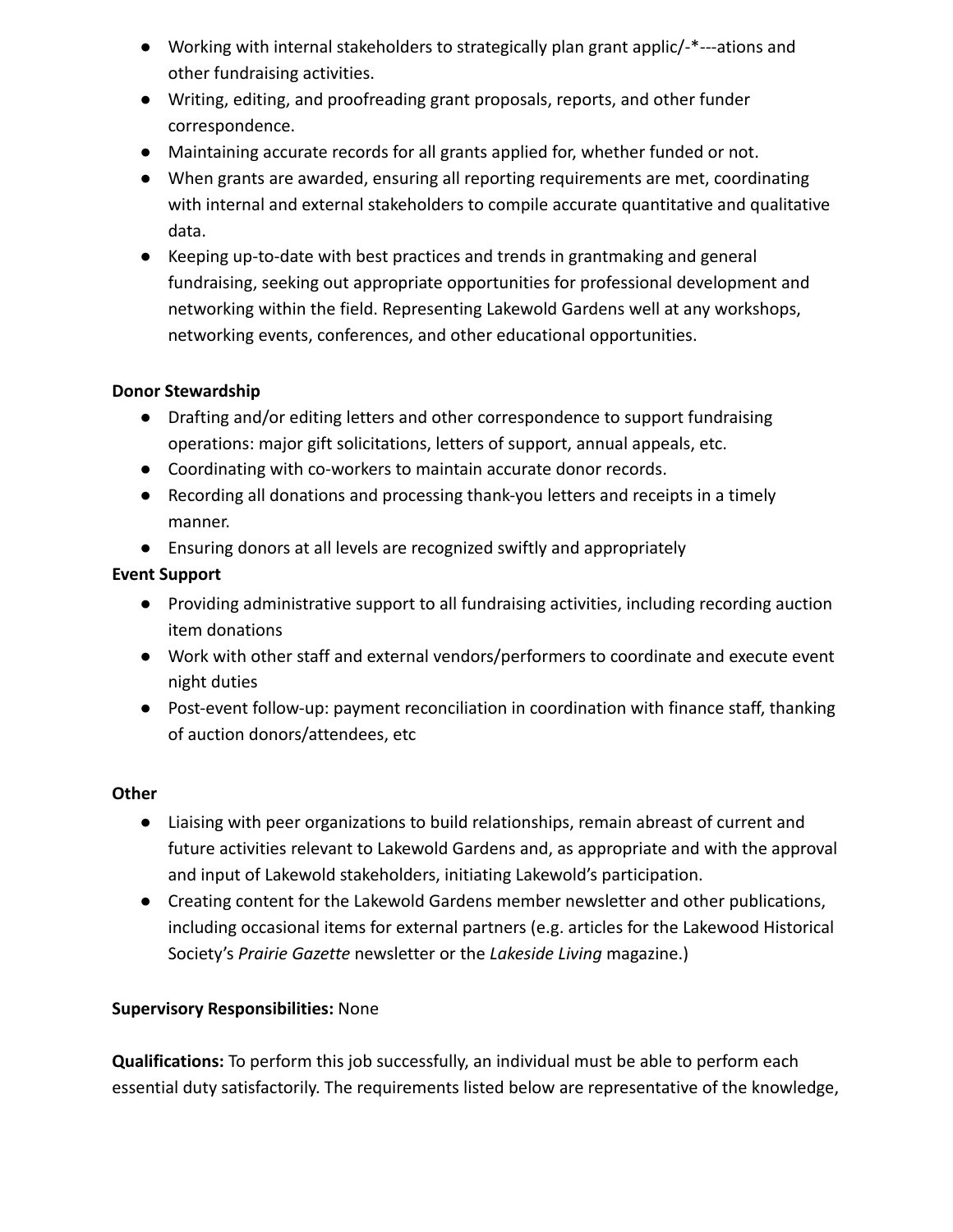- Working with internal stakeholders to strategically plan grant applic/-\*---ations and other fundraising activities.
- Writing, editing, and proofreading grant proposals, reports, and other funder correspondence.
- Maintaining accurate records for all grants applied for, whether funded or not.
- When grants are awarded, ensuring all reporting requirements are met, coordinating with internal and external stakeholders to compile accurate quantitative and qualitative data.
- Keeping up-to-date with best practices and trends in grantmaking and general fundraising, seeking out appropriate opportunities for professional development and networking within the field. Representing Lakewold Gardens well at any workshops, networking events, conferences, and other educational opportunities.

#### **Donor Stewardship**

- Drafting and/or editing letters and other correspondence to support fundraising operations: major gift solicitations, letters of support, annual appeals, etc.
- Coordinating with co-workers to maintain accurate donor records.
- Recording all donations and processing thank-you letters and receipts in a timely manner.
- Ensuring donors at all levels are recognized swiftly and appropriately

# **Event Support**

- Providing administrative support to all fundraising activities, including recording auction item donations
- Work with other staff and external vendors/performers to coordinate and execute event night duties
- Post-event follow-up: payment reconciliation in coordination with finance staff, thanking of auction donors/attendees, etc

#### **Other**

- Liaising with peer organizations to build relationships, remain abreast of current and future activities relevant to Lakewold Gardens and, as appropriate and with the approval and input of Lakewold stakeholders, initiating Lakewold's participation.
- Creating content for the Lakewold Gardens member newsletter and other publications, including occasional items for external partners (e.g. articles for the Lakewood Historical Society's *Prairie Gazette* newsletter or the *Lakeside Living* magazine.)

# **Supervisory Responsibilities:** None

**Qualifications:** To perform this job successfully, an individual must be able to perform each essential duty satisfactorily. The requirements listed below are representative of the knowledge,